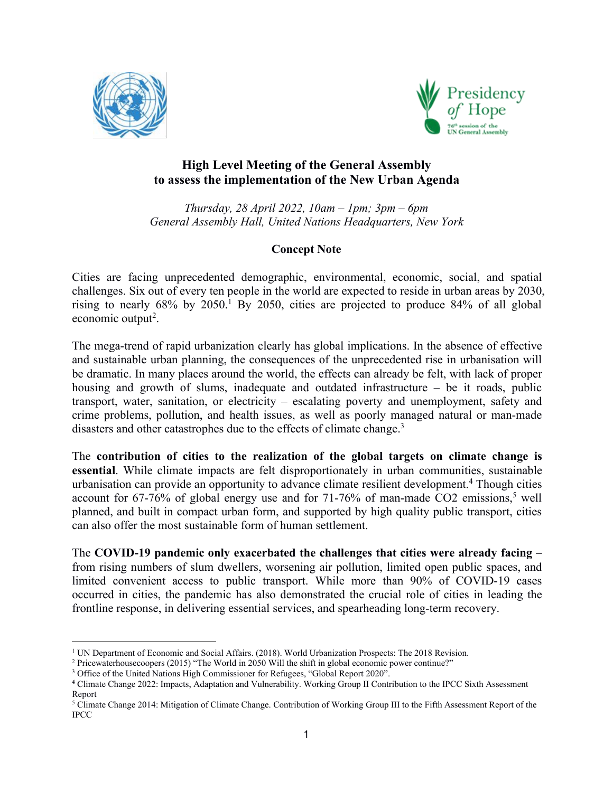



## **High Level Meeting of the General Assembly to assess the implementation of the New Urban Agenda**

*Thursday, 28 April 2022,10am – 1pm; 3pm – 6pm General Assembly Hall, United Nations Headquarters, New York*

## **Concept Note**

Cities are facing unprecedented demographic, environmental, economic, social, and spatial challenges. Six out of every ten people in the world are expected to reside in urban areas by 2030, rising to nearly  $68\%$  by  $2050<sup>1</sup>$  $2050<sup>1</sup>$  $2050<sup>1</sup>$  By 2050, cities are projected to produce  $84\%$  of all global economic output<sup>[2](#page-0-1)</sup>. .

The mega-trend of rapid urbanization clearly has global implications. In the absence of effective and sustainable urban planning, the consequences of the unprecedented rise in urbanisation will be dramatic. In many places around the world, the effects can already be felt, with lack of proper housing and growth of slums, inadequate and outdated infrastructure – be it roads, public transport, water, sanitation, or electricity – escalating poverty and unemployment, safety and crime problems, pollution, and health issues, as wellas poorly managed natural or man-made disasters and other catastrophes due to the effects of climate change.<sup>[3](#page-0-2)</sup>

The **contribution of cities to the realization of the globaltargets on climate change is essential**. While climate impacts are felt disproportionately in urban communities, sustainable urbanisation can provide an opportunity to advance climate resilient development.[4](#page-0-3) Though cities account for  $67-76\%$  of global energy use and for  $71-76\%$  of man-made CO2 emissions,<sup>[5](#page-0-4)</sup> well planned, and built in compact urban form, and supported by high quality public transport, cities can also offer the most sustainable form of human settlement.

The **COVID-19 pandemic only exacerbated the challenges that cities were already facing** – from rising numbers of slum dwellers, worsening air pollution, limited open public spaces, and limited convenient access to public transport. While more than 90% of COVID-19 cases occurred in cities, the pandemic has also demonstrated the crucial role of cities in leading the frontline response, in delivering essential services, and spearheading long-term recovery.

<span id="page-0-0"></span><sup>&</sup>lt;sup>1</sup> UN Department of Economic and Social Affairs. (2018). World Urbanization Prospects: The 2018 Revision.

<span id="page-0-1"></span><sup>2</sup> Pricewaterhousecoopers (2015) "The World in 2050 Willthe shift in global economic power continue?"

<span id="page-0-2"></span><sup>&</sup>lt;sup>3</sup> Office of the United Nations High Commissioner for Refugees, "Global Report 2020".

<span id="page-0-3"></span>**<sup>4</sup>** Climate Change 2022: Impacts, Adaptation and Vulnerability. Working Group II Contribution to the IPCC Sixth Assessment Report

<span id="page-0-4"></span><sup>5</sup> Climate Change 2014: Mitigation of Climate Change. Contribution of Working Group III to the Fifth Assessment Report of the IPCC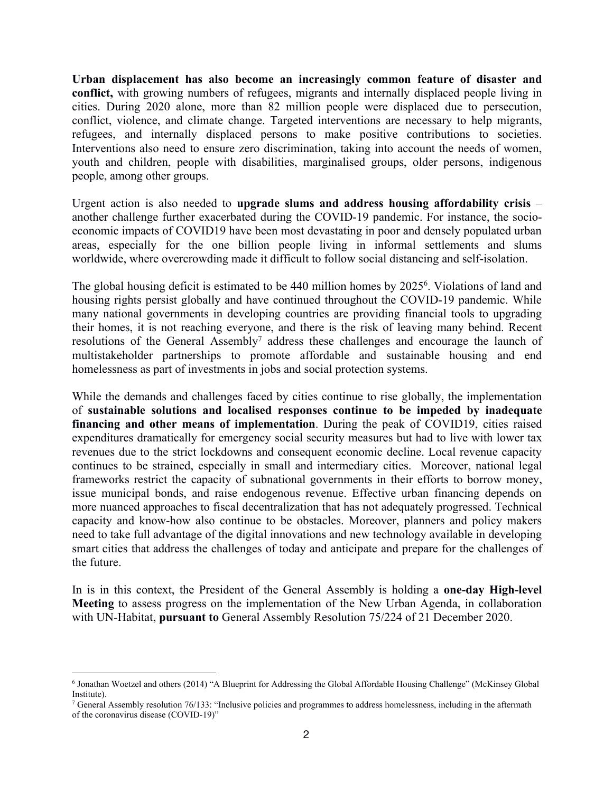**Urban displacement has also become an increasingly common feature of disaster and conflict,** with growing numbers of refugees, migrants and internally displaced people living in cities. During 2020 alone, more than 82 million people were displaced due to persecution, conflict, violence, and climate change. Targeted interventions are necessary to help migrants, refugees, and internally displaced persons to make positive contributions to societies. Interventions also need to ensure zero discrimination, taking into account the needs of women, youth and children, people with disabilities, marginalised groups, older persons, indigenous people, among other groups.

Urgent action is also needed to **upgrade slums and address housing affordability crisis** – another challenge further exacerbated during the COVID-19 pandemic. For instance, the socio economic impacts of COVID19 have been most devastating in poor and densely populated urban areas, especially for the one billion people living in informalsettlements and slums worldwide, where overcrowding made it difficult to follow social distancing and self-isolation.

The global housing deficit is estimated to be 440 million homes by 2025 [6](#page-1-0) . Violations of land and housing rights persist globally and have continued throughout the COVID-19 pandemic. While many national governments in developing countries are providing financial tools to upgrading their homes, it is not reaching everyone, and there is the risk of leaving many behind. Recent resolutions of the General Assembly [7](#page-1-1) address these challenges and encourage the launch of multistakeholder partnerships to promote affordable and sustainable housing and end homelessness as part of investments in jobs and social protection systems.

While the demands and challenges faced by cities continue to rise globally, the implementation of **sustainable solutions and localised responses continue to be impeded by inadequate financing and other means of implementation**. During the peak of COVID19, cities raised expenditures dramatically for emergency social security measures but had to live with lower tax revenues due to the strict lockdowns and consequent economic decline. Local revenue capacity continues to be strained, especially in small and intermediary cities. Moreover, national legal frameworks restrict the capacity of subnational governments in their efforts to borrow money, issue municipal bonds, and raise endogenous revenue. Effective urban financing depends on more nuanced approaches to fiscal decentralization that has not adequately progressed. Technical capacity and know-how also continue to be obstacles. Moreover, planners and policy makers need to take full advantage of the digital innovations and new technology available in developing smart cities that address the challenges of today and anticipate and prepare for the challenges of the future.

In is in this context, the President of the General Assembly is holding a **one-day High-level Meeting** to assess progress on the implementation of the New Urban Agenda, in collaboration with UN-Habitat, **pursuant to** General Assembly Resolution 75/224 of 21 December 2020.

<span id="page-1-0"></span><sup>6</sup> Jonathan Woetzel and others (2014) "A Blueprint for Addressing the Global Affordable Housing Challenge" (McKinsey Global Institute).

<span id="page-1-1"></span><sup>7</sup> General Assembly resolution 76/133: "Inclusive policies and programmes to address homelessness, including in the aftermath of the coronavirus disease (COVID-19)"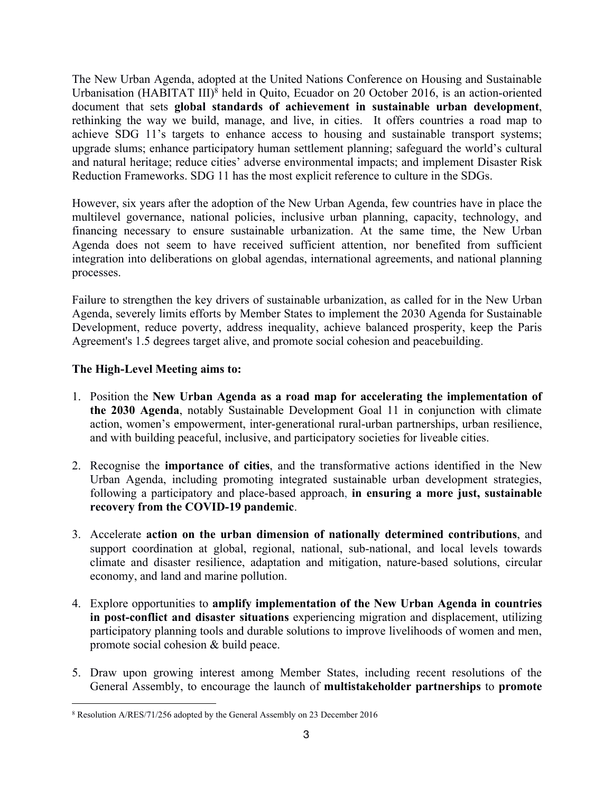The New Urban Agenda, adopted at the United Nations Conference on Housing and Sustainable Urbanisation (HABITAT III) [8](#page-2-0) held in Quito, Ecuador on 20 October 2016, is an action-oriented document that sets **global standards of achievement in sustainable urban development**, rethinking the way we build, manage, and live, in cities. It offers countries a road map to achieve SDG 11's targets to enhance access to housing and sustainable transport systems; upgrade slums; enhance participatory human settlement planning; safeguard the world's cultural and natural heritage; reduce cities' adverse environmental impacts; and implement Disaster Risk Reduction Frameworks. SDG 11 has the most explicit reference to culture in the SDGs.

However, six years after the adoption of the New Urban Agenda, few countries have in place the multilevel governance, national policies, inclusive urban planning, capacity, technology, and financing necessary to ensure sustainable urbanization. At the same time, the New Urban Agenda does not seem to have received sufficient attention, nor benefited from sufficient integration into deliberations on global agendas, international agreements, and national planning processes.

Failure to strengthen the key drivers of sustainable urbanization, as called for in the New Urban Agenda, severely limits efforts by Member States to implement the 2030 Agenda for Sustainable Development, reduce poverty, address inequality, achieve balanced prosperity, keep the Paris Agreement's 1.5 degrees target alive, and promote social cohesion and peacebuilding.

## **The High-Level Meeting aims to:**

- 1. Position the **New Urban Agenda as a road map for accelerating the implementation of the 2030 Agenda**, notably Sustainable Development Goal 11 in conjunction with climate action, women's empowerment, inter-generational rural-urban partnerships, urban resilience, and with building peaceful, inclusive, and participatory societies for liveable cities.
- 2. Recognise the **importance of cities**, and the transformative actions identified in the New Urban Agenda, including promoting integrated sustainable urban development strategies, following a participatory and place-based approach, **in ensuring a more just, sustainable recovery from the COVID-19 pandemic**.
- 3. Accelerate **action on the urban dimension of nationally determined contributions**, and support coordination at global, regional, national, sub-national, and local levels towards climate and disaster resilience, adaptation and mitigation, nature-based solutions, circular economy, and land and marine pollution.
- 4. Explore opportunities to **amplify implementation of the New Urban Agenda in countries in post-conflict and disaster situations** experiencing migration and displacement, utilizing participatory planning tools and durable solutions to improve livelihoods of women and men, promote social cohesion & build peace.
- 5. Draw upon growing interest among Member States, including recent resolutions of the General Assembly, to encourage the launch of **multistakeholder partnerships** to **promote**

<span id="page-2-0"></span><sup>8</sup> Resolution A/RES/71/256 adopted by the General Assembly on 23 December 2016